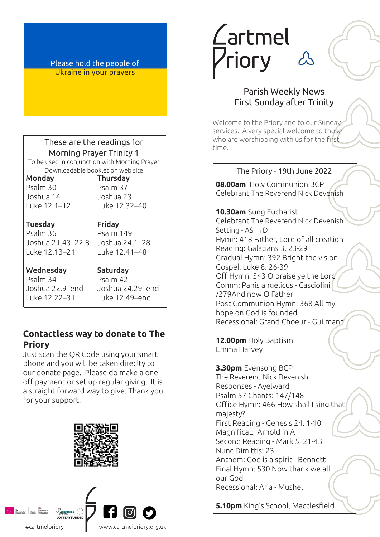Please hold the people of Ukraine in your prayers

#### These are the readings for Morning Prayer Trinity 1

To be used in conjunction with Morning Prayer Downloadable booklet on web site

Monday Psalm 30 Joshua 14 Luke 12.1–12

#### Thursday Psalm 37 Joshua 23

Luke 12.32–40

# Tuesday

Psalm 36 Joshua 21.43–22.8 Luke 12.13–21

Friday Psalm 149 Joshua 24.1–28 Luke 12.41–48

#### Wednesday

Psalm 34 Joshua 22.9–end Luke 12.22–31

Saturday Psalm 42 Joshua 24.29–end Luke 12.49–end

# **Contactless way to donate to The Priory**

Just scan the QR Code using your smart phone and you will be taken direclty to our donate page. Please do make a one off payment or set up regular giving. It is a straight forward way to give. Thank you for your support.





*Cartmel* **Priory** 

# Parish Weekly News First Sunday after Trinity

Welcome to the Priory and to our Sunday services. A very special welcome to those who are worshipping with us for the first time.

# The Priory - 19th June 2022

**08.00am** Holy Communion BCP Celebrant The Reverend Nick Devenish

**10.30am** Sung Eucharist Celebrant The Reverend Nick Devenish Setting - AS in D Hymn: 418 Father, Lord of all creation Reading: Galatians 3. 23-29 Gradual Hymn: 392 Bright the vision Gospel: Luke 8. 26-39 Off Hymn: 543 O praise ye the Lord Comm: Panis angelicus - Casciolini /279And now O Father Post Communion Hymn: 368 All my hope on God is founded Recessional: Grand Choeur - Guilmant

**12.00pm** Holy Baptism Emma Harvey

**3.30pm** Evensong BCP The Reverend Nick Devenish Responses - Ayelward Psalm 57 Chants: 147/148 Office Hymn: 466 How shall I sing that majesty? First Reading - Genesis 24. 1-10 Magnificat: Arnold in A Second Reading - Mark 5. 21-43 Nunc Dimittis: 23 Anthem: God is a spirit - Bennett Final Hymn: 530 Now thank we all our God Recessional: Aria - Mushel

**5.10pm** King's School, Macclesfield